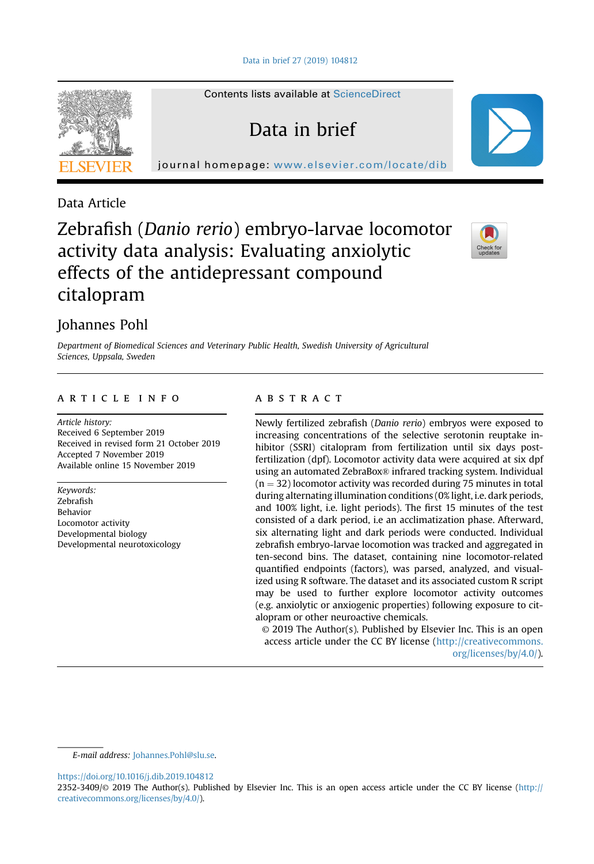Contents lists available at [ScienceDirect](www.sciencedirect.com/science/journal/23523409)

Data in brief

journal homepage: <www.elsevier.com/locate/dib>



Data Article

# Zebrafish (Danio rerio) embryo-larvae locomotor activity data analysis: Evaluating anxiolytic effects of the antidepressant compound citalopram



# Johannes Pohl

Department of Biomedical Sciences and Veterinary Public Health, Swedish University of Agricultural Sciences, Uppsala, Sweden

# article info

Article history: Received 6 September 2019 Received in revised form 21 October 2019 Accepted 7 November 2019 Available online 15 November 2019

Keywords: Zebrafish Behavior Locomotor activity Developmental biology Developmental neurotoxicology

# **ABSTRACT**

Newly fertilized zebrafish (Danio rerio) embryos were exposed to increasing concentrations of the selective serotonin reuptake inhibitor (SSRI) citalopram from fertilization until six days postfertilization (dpf). Locomotor activity data were acquired at six dpf using an automated ZebraBox® infrared tracking system. Individual  $(n = 32)$  locomotor activity was recorded during 75 minutes in total during alternating illumination conditions (0% light, i.e. dark periods, and 100% light, i.e. light periods). The first 15 minutes of the test consisted of a dark period, i.e an acclimatization phase. Afterward, six alternating light and dark periods were conducted. Individual zebrafish embryo-larvae locomotion was tracked and aggregated in ten-second bins. The dataset, containing nine locomotor-related quantified endpoints (factors), was parsed, analyzed, and visualized using R software. The dataset and its associated custom R script may be used to further explore locomotor activity outcomes (e.g. anxiolytic or anxiogenic properties) following exposure to citalopram or other neuroactive chemicals.

© 2019 The Author(s). Published by Elsevier Inc. This is an open access article under the CC BY license ([http://creativecommons.](http://creativecommons.org/licenses/by/4.0/) [org/licenses/by/4.0/](http://creativecommons.org/licenses/by/4.0/)).

E-mail address: [Johannes.Pohl@slu.se](mailto:Johannes.Pohl@slu.se).

<https://doi.org/10.1016/j.dib.2019.104812>

<sup>2352-3409/</sup>© 2019 The Author(s). Published by Elsevier Inc. This is an open access article under the CC BY license ([http://](http://creativecommons.org/licenses/by/4.0/) [creativecommons.org/licenses/by/4.0/](http://creativecommons.org/licenses/by/4.0/)).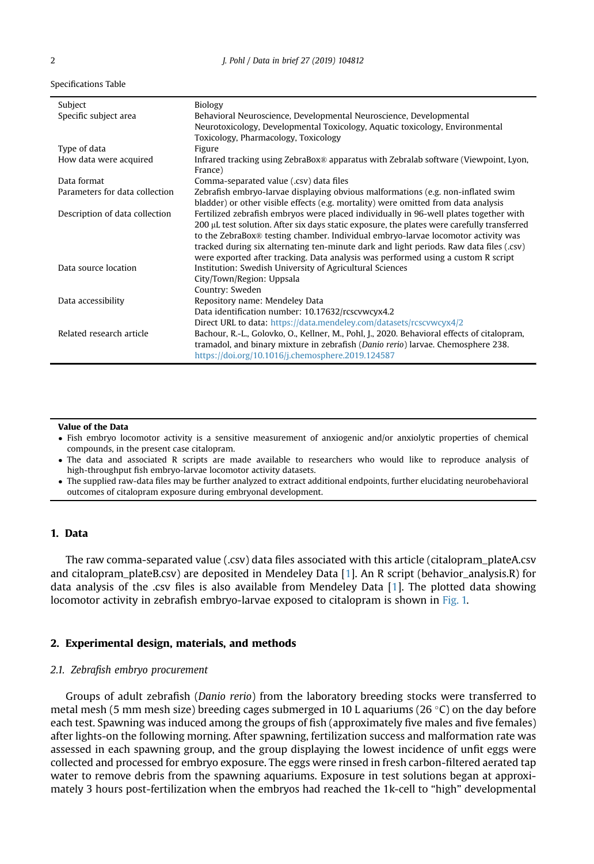| Subject                        | Biology                                                                                     |  |
|--------------------------------|---------------------------------------------------------------------------------------------|--|
| Specific subject area          | Behavioral Neuroscience, Developmental Neuroscience, Developmental                          |  |
|                                | Neurotoxicology, Developmental Toxicology, Aquatic toxicology, Environmental                |  |
|                                | Toxicology, Pharmacology, Toxicology                                                        |  |
| Type of data                   | Figure                                                                                      |  |
| How data were acquired         | Infrared tracking using ZebraBox® apparatus with Zebralab software (Viewpoint, Lyon,        |  |
|                                | France)                                                                                     |  |
| Data format                    | Comma-separated value (.csv) data files                                                     |  |
| Parameters for data collection | Zebrafish embryo-larvae displaying obvious malformations (e.g. non-inflated swim            |  |
|                                | bladder) or other visible effects (e.g. mortality) were omitted from data analysis          |  |
| Description of data collection | Fertilized zebrafish embryos were placed individually in 96-well plates together with       |  |
|                                | 200 µL test solution. After six days static exposure, the plates were carefully transferred |  |
|                                | to the ZebraBox® testing chamber. Individual embryo-larvae locomotor activity was           |  |
|                                | tracked during six alternating ten-minute dark and light periods. Raw data files (.csv)     |  |
|                                | were exported after tracking. Data analysis was performed using a custom R script           |  |
| Data source location           | Institution: Swedish University of Agricultural Sciences                                    |  |
|                                | City/Town/Region: Uppsala                                                                   |  |
|                                | Country: Sweden                                                                             |  |
| Data accessibility             | Repository name: Mendeley Data                                                              |  |
|                                | Data identification number: 10.17632/rcscvwcyx4.2                                           |  |
|                                | Direct URL to data: https://data.mendeley.com/datasets/rcscvwcyx4/2                         |  |
| Related research article       | Bachour, R.-L., Golovko, O., Kellner, M., Pohl, J., 2020. Behavioral effects of citalopram, |  |
|                                | tramadol, and binary mixture in zebrafish (Danio rerio) larvae. Chemosphere 238.            |  |
|                                | https://doi.org/10.1016/j.chemosphere.2019.124587                                           |  |

#### Value of the Data

- Fish embryo locomotor activity is a sensitive measurement of anxiogenic and/or anxiolytic properties of chemical compounds, in the present case citalopram.
- The data and associated R scripts are made available to researchers who would like to reproduce analysis of high-throughput fish embryo-larvae locomotor activity datasets.
- The supplied raw-data files may be further analyzed to extract additional endpoints, further elucidating neurobehavioral outcomes of citalopram exposure during embryonal development.

## 1. Data

The raw comma-separated value (.csv) data files associated with this article (citalopram\_plateA.csv and citalopram\_plateB.csv) are deposited in Mendeley Data [[1\]](#page-5-0). An R script (behavior\_analysis.R) for data analysis of the .csv files is also available from Mendeley Data [[1\]](#page-5-0). The plotted data showing locomotor activity in zebrafish embryo-larvae exposed to citalopram is shown in [Fig. 1.](#page-2-0)

#### 2. Experimental design, materials, and methods

#### 2.1. Zebrafish embryo procurement

Groups of adult zebrafish (Danio rerio) from the laboratory breeding stocks were transferred to metal mesh (5 mm mesh size) breeding cages submerged in 10 L aquariums (26 °C) on the day before each test. Spawning was induced among the groups of fish (approximately five males and five females) after lights-on the following morning. After spawning, fertilization success and malformation rate was assessed in each spawning group, and the group displaying the lowest incidence of unfit eggs were collected and processed for embryo exposure. The eggs were rinsed in fresh carbon-filtered aerated tap water to remove debris from the spawning aquariums. Exposure in test solutions began at approximately 3 hours post-fertilization when the embryos had reached the 1k-cell to "high" developmental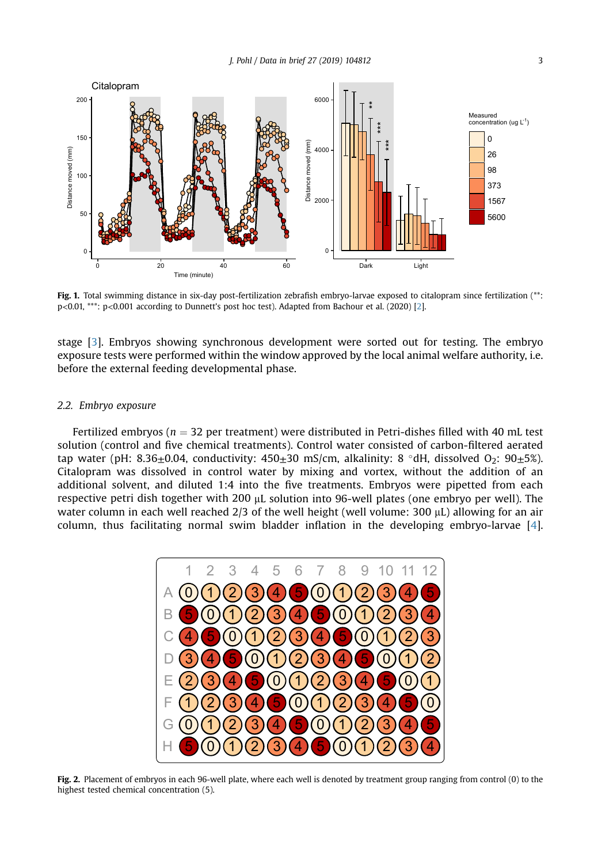<span id="page-2-0"></span>

Fig. 1. Total swimming distance in six-day post-fertilization zebrafish embryo-larvae exposed to citalopram since fertilization (\*\*: p<0.01, \*\*\*: p<0.001 according to Dunnett's post hoc test). Adapted from Bachour et al. (2020) [\[2](#page-5-0)].

stage [\[3\]](#page-5-0). Embryos showing synchronous development were sorted out for testing. The embryo exposure tests were performed within the window approved by the local animal welfare authority, i.e. before the external feeding developmental phase.

#### 2.2. Embryo exposure

Fertilized embryos ( $n = 32$  per treatment) were distributed in Petri-dishes filled with 40 mL test solution (control and five chemical treatments). Control water consisted of carbon-filtered aerated tap water (pH: 8.36 $\pm$ 0.04, conductivity: 450 $\pm$ 30 mS/cm, alkalinity: 8 °dH, dissolved O<sub>2</sub>: 90 $\pm$ 5%). Citalopram was dissolved in control water by mixing and vortex, without the addition of an additional solvent, and diluted 1:4 into the five treatments. Embryos were pipetted from each respective petri dish together with 200  $\mu$ L solution into 96-well plates (one embryo per well). The water column in each well reached  $2/3$  of the well height (well volume: 300  $\mu$ L) allowing for an air column, thus facilitating normal swim bladder inflation in the developing embryo-larvae [\[4](#page-5-0)].



Fig. 2. Placement of embryos in each 96-well plate, where each well is denoted by treatment group ranging from control (0) to the highest tested chemical concentration (5).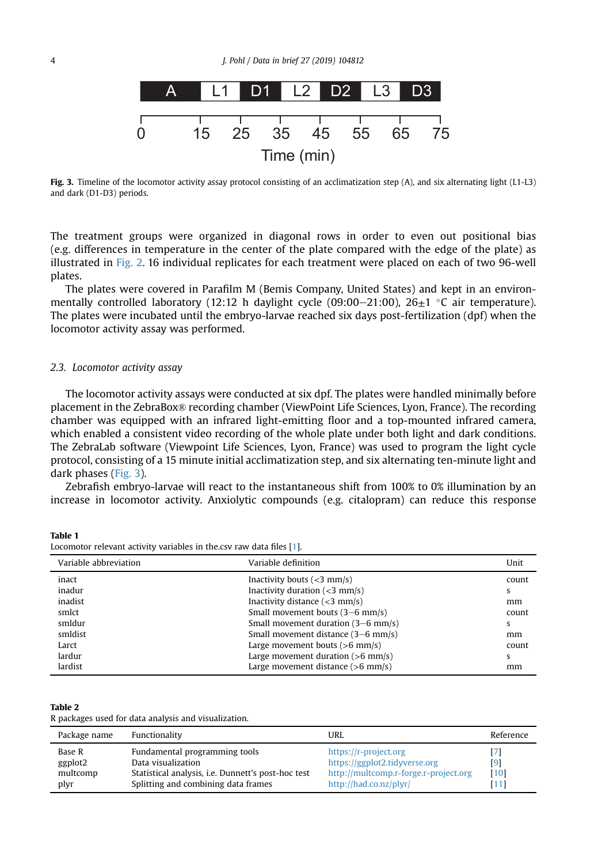<span id="page-3-0"></span>

Fig. 3. Timeline of the locomotor activity assay protocol consisting of an acclimatization step (A), and six alternating light (L1-L3) and dark (D1-D3) periods.

The treatment groups were organized in diagonal rows in order to even out positional bias (e.g. differences in temperature in the center of the plate compared with the edge of the plate) as illustrated in [Fig. 2](#page-2-0). 16 individual replicates for each treatment were placed on each of two 96-well plates.

The plates were covered in Parafilm M (Bemis Company, United States) and kept in an environmentally controlled laboratory (12:12 h daylight cycle (09:00–21:00), 26 $\pm$ 1 °C air temperature). The plates were incubated until the embryo-larvae reached six days post-fertilization (dpf) when the locomotor activity assay was performed.

#### 2.3. Locomotor activity assay

The locomotor activity assays were conducted at six dpf. The plates were handled minimally before placement in the ZebraBox® recording chamber (ViewPoint Life Sciences, Lyon, France). The recording chamber was equipped with an infrared light-emitting floor and a top-mounted infrared camera, which enabled a consistent video recording of the whole plate under both light and dark conditions. The ZebraLab software (Viewpoint Life Sciences, Lyon, France) was used to program the light cycle protocol, consisting of a 15 minute initial acclimatization step, and six alternating ten-minute light and dark phases (Fig. 3).

Zebrafish embryo-larvae will react to the instantaneous shift from 100% to 0% illumination by an increase in locomotor activity. Anxiolytic compounds (e.g. citalopram) can reduce this response

Table 1 Locomotor relevant activity variables in the.csv raw data files [\[1](#page-5-0)].

| Variable abbreviation | Variable definition                          | Unit  |
|-----------------------|----------------------------------------------|-------|
| inact                 | Inactivity bouts $(<3$ mm/s)                 | count |
| inadur                | Inactivity duration $(3 \text{ mm/s})$       | s     |
| inadist               | Inactivity distance $(<$ 3 mm/s)             | mm    |
| smlct                 | Small movement bouts (3–6 mm/s)              | count |
| smldur                | Small movement duration $(3-6 \text{ mm/s})$ | s     |
| smldist               | Small movement distance (3–6 mm/s)           | mm    |
| Larct                 | Large movement bouts $(>6$ mm/s)             | count |
| lardur                | Large movement duration $(>6$ mm/s)          | s     |
| lardist               | Large movement distance $(>6$ mm/s)          | mm    |

#### Table 2

R packages used for data analysis and visualization.

| Package name                          | Functionality                                                                                                                                    | URL                                                                                                                       | Reference           |
|---------------------------------------|--------------------------------------------------------------------------------------------------------------------------------------------------|---------------------------------------------------------------------------------------------------------------------------|---------------------|
| Base R<br>ggplot2<br>multcomp<br>plyr | Fundamental programming tools<br>Data visualization<br>Statistical analysis, i.e. Dunnett's post-hoc test<br>Splitting and combining data frames | https://r-project.org<br>https://ggplot2.tidyverse.org<br>http://multcomp.r-forge.r-project.org<br>http://had.co.nz/plyr/ | [9]<br>[10]<br>'111 |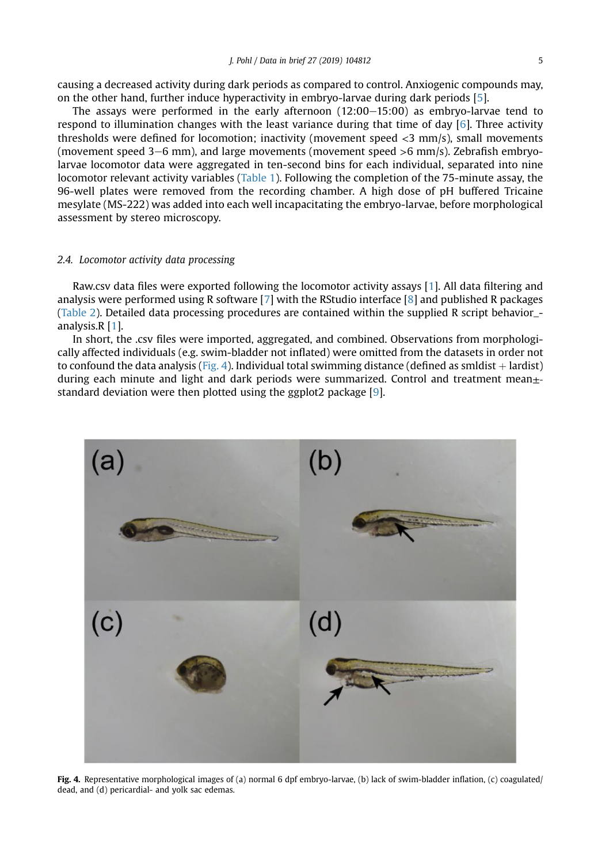causing a decreased activity during dark periods as compared to control. Anxiogenic compounds may, on the other hand, further induce hyperactivity in embryo-larvae during dark periods [[5\]](#page-5-0).

The assays were performed in the early afternoon  $(12:00-15:00)$  as embryo-larvae tend to respond to illumination changes with the least variance during that time of day [\[6](#page-5-0)]. Three activity thresholds were defined for locomotion; inactivity (movement speed <3 mm/s), small movements (movement speed  $3-6$  mm), and large movements (movement speed  $>6$  mm/s). Zebrafish embryolarvae locomotor data were aggregated in ten-second bins for each individual, separated into nine locomotor relevant activity variables ([Table 1](#page-3-0)). Following the completion of the 75-minute assay, the 96-well plates were removed from the recording chamber. A high dose of pH buffered Tricaine mesylate (MS-222) was added into each well incapacitating the embryo-larvae, before morphological assessment by stereo microscopy.

#### 2.4. Locomotor activity data processing

Raw.csv data files were exported following the locomotor activity assays [[1](#page-5-0)]. All data filtering and analysis were performed using R software [\[7\]](#page-5-0) with the RStudio interface [\[8](#page-5-0)] and published R packages [\(Table 2\)](#page-3-0). Detailed data processing procedures are contained within the supplied R script behavior\_ analysis.R [[1](#page-5-0)].

In short, the .csv files were imported, aggregated, and combined. Observations from morphologically affected individuals (e.g. swim-bladder not inflated) were omitted from the datasets in order not to confound the data analysis (Fig. 4). Individual total swimming distance (defined as smldist  $+$  lardist) during each minute and light and dark periods were summarized. Control and treatment mean± standard deviation were then plotted using the ggplot2 package [[9\]](#page-5-0).



Fig. 4. Representative morphological images of (a) normal 6 dpf embryo-larvae, (b) lack of swim-bladder inflation, (c) coagulated/ dead, and (d) pericardial- and yolk sac edemas.